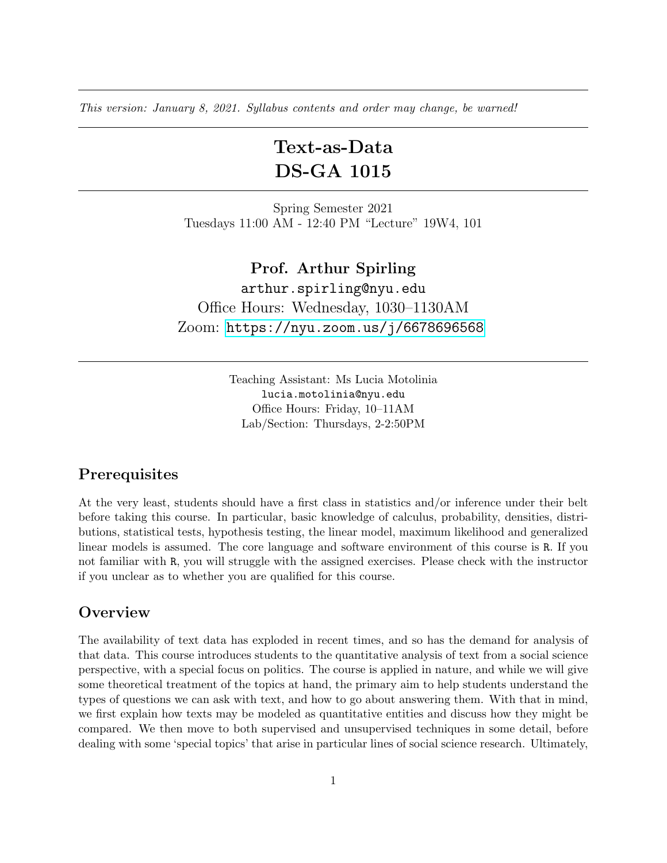This version: January 8, 2021. Syllabus contents and order may change, be warned!

# Text-as-Data DS-GA 1015

Spring Semester 2021 Tuesdays 11:00 AM - 12:40 PM "Lecture" 19W4, 101

Prof. Arthur Spirling arthur.spirling@nyu.edu Office Hours: Wednesday, 1030–1130AM Zoom: <https://nyu.zoom.us/j/6678696568>

> Teaching Assistant: Ms Lucia Motolinia lucia.motolinia@nyu.edu Office Hours: Friday, 10–11AM Lab/Section: Thursdays, 2-2:50PM

### **Prerequisites**

At the very least, students should have a first class in statistics and/or inference under their belt before taking this course. In particular, basic knowledge of calculus, probability, densities, distributions, statistical tests, hypothesis testing, the linear model, maximum likelihood and generalized linear models is assumed. The core language and software environment of this course is R. If you not familiar with R, you will struggle with the assigned exercises. Please check with the instructor if you unclear as to whether you are qualified for this course.

#### **Overview**

The availability of text data has exploded in recent times, and so has the demand for analysis of that data. This course introduces students to the quantitative analysis of text from a social science perspective, with a special focus on politics. The course is applied in nature, and while we will give some theoretical treatment of the topics at hand, the primary aim to help students understand the types of questions we can ask with text, and how to go about answering them. With that in mind, we first explain how texts may be modeled as quantitative entities and discuss how they might be compared. We then move to both supervised and unsupervised techniques in some detail, before dealing with some 'special topics' that arise in particular lines of social science research. Ultimately,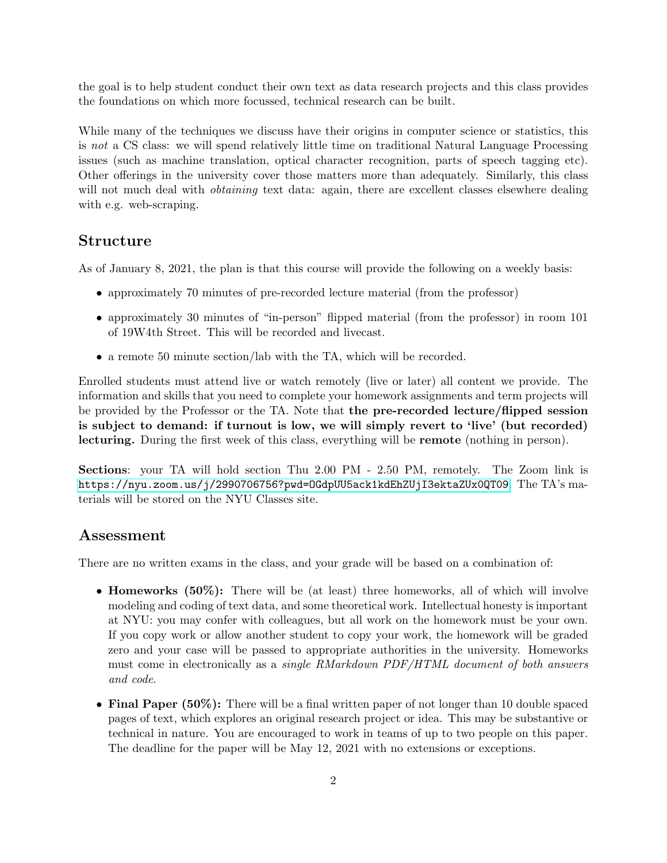the goal is to help student conduct their own text as data research projects and this class provides the foundations on which more focussed, technical research can be built.

While many of the techniques we discuss have their origins in computer science or statistics, this is not a CS class: we will spend relatively little time on traditional Natural Language Processing issues (such as machine translation, optical character recognition, parts of speech tagging etc). Other offerings in the university cover those matters more than adequately. Similarly, this class will not much deal with *obtaining* text data: again, there are excellent classes elsewhere dealing with e.g. web-scraping.

#### Structure

As of January 8, 2021, the plan is that this course will provide the following on a weekly basis:

- approximately 70 minutes of pre-recorded lecture material (from the professor)
- approximately 30 minutes of "in-person" flipped material (from the professor) in room 101 of 19W4th Street. This will be recorded and livecast.
- a remote 50 minute section/lab with the TA, which will be recorded.

Enrolled students must attend live or watch remotely (live or later) all content we provide. The information and skills that you need to complete your homework assignments and term projects will be provided by the Professor or the TA. Note that the pre-recorded lecture/flipped session is subject to demand: if turnout is low, we will simply revert to 'live' (but recorded) lecturing. During the first week of this class, everything will be remote (nothing in person).

Sections: your TA will hold section Thu 2.00 PM - 2.50 PM, remotely. The Zoom link is [https://nyu.zoom.us/j/2990706756?pwd=OGdpUU5ack1kdEhZUjI3ektaZUx0QT09](https://nyu.zoom.us/j/2990706756?pwd=OGdpUU5ack1kdEhZUjI3ektaZUx0QT09 ). The TA's materials will be stored on the NYU Classes site.

#### Assessment

There are no written exams in the class, and your grade will be based on a combination of:

- **Homeworks (50%):** There will be (at least) three homeworks, all of which will involve modeling and coding of text data, and some theoretical work. Intellectual honesty is important at NYU: you may confer with colleagues, but all work on the homework must be your own. If you copy work or allow another student to copy your work, the homework will be graded zero and your case will be passed to appropriate authorities in the university. Homeworks must come in electronically as a single RMarkdown PDF/HTML document of both answers and code.
- Final Paper (50%): There will be a final written paper of not longer than 10 double spaced pages of text, which explores an original research project or idea. This may be substantive or technical in nature. You are encouraged to work in teams of up to two people on this paper. The deadline for the paper will be May 12, 2021 with no extensions or exceptions.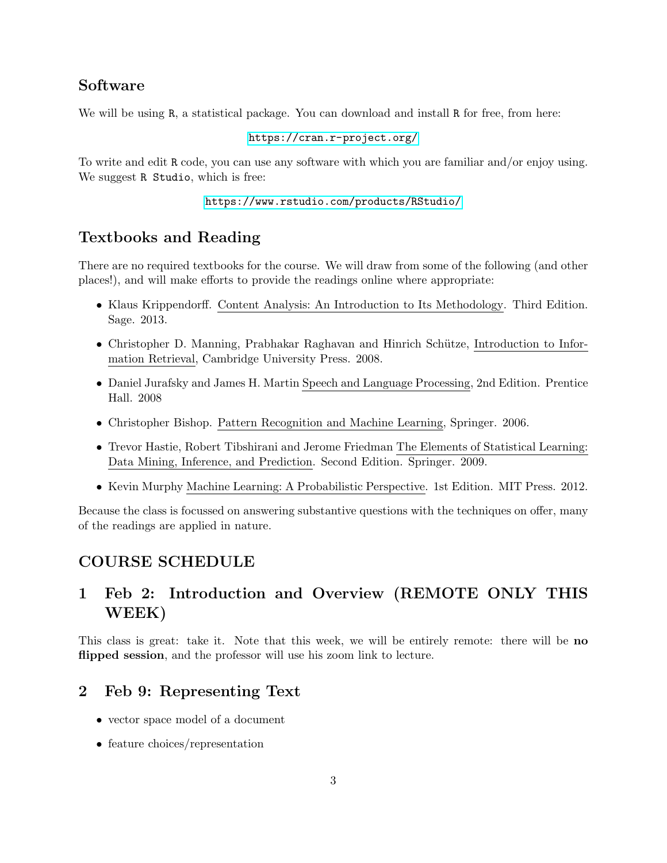## Software

We will be using R, a statistical package. You can download and install R for free, from here:

<https://cran.r-project.org/>

To write and edit R code, you can use any software with which you are familiar and/or enjoy using. We suggest R Studio, which is free:

```
https://www.rstudio.com/products/RStudio/
```
## Textbooks and Reading

There are no required textbooks for the course. We will draw from some of the following (and other places!), and will make efforts to provide the readings online where appropriate:

- Klaus Krippendorff. Content Analysis: An Introduction to Its Methodology. Third Edition. Sage. 2013.
- Christopher D. Manning, Prabhakar Raghavan and Hinrich Schütze, Introduction to Information Retrieval, Cambridge University Press. 2008.
- Daniel Jurafsky and James H. Martin Speech and Language Processing, 2nd Edition. Prentice Hall. 2008
- Christopher Bishop. Pattern Recognition and Machine Learning, Springer. 2006.
- Trevor Hastie, Robert Tibshirani and Jerome Friedman The Elements of Statistical Learning: Data Mining, Inference, and Prediction. Second Edition. Springer. 2009.
- Kevin Murphy Machine Learning: A Probabilistic Perspective. 1st Edition. MIT Press. 2012.

Because the class is focussed on answering substantive questions with the techniques on offer, many of the readings are applied in nature.

## COURSE SCHEDULE

## 1 Feb 2: Introduction and Overview (REMOTE ONLY THIS WEEK)

This class is great: take it. Note that this week, we will be entirely remote: there will be no flipped session, and the professor will use his zoom link to lecture.

## 2 Feb 9: Representing Text

- vector space model of a document
- feature choices/representation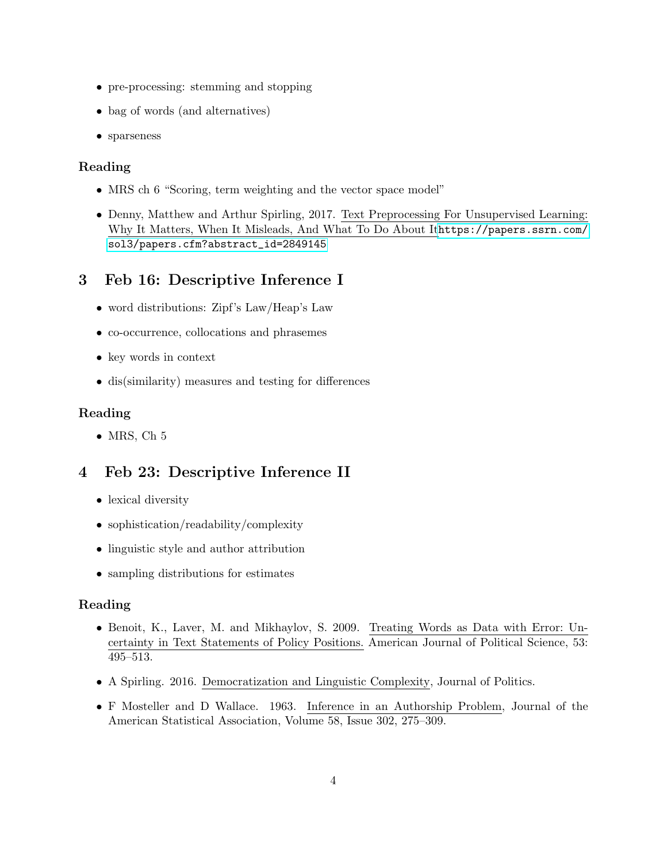- pre-processing: stemming and stopping
- bag of words (and alternatives)
- sparseness

#### Reading

- MRS ch 6 "Scoring, term weighting and the vector space model"
- Denny, Matthew and Arthur Spirling, 2017. Text Preprocessing For Unsupervised Learning: Why It Matters, When It Misleads, And What To Do About It[https://papers.ssrn.com/](https://papers.ssrn.com/sol3/papers.cfm?abstract_id=2849145) [sol3/papers.cfm?abstract\\_id=2849145](https://papers.ssrn.com/sol3/papers.cfm?abstract_id=2849145)

## 3 Feb 16: Descriptive Inference I

- word distributions: Zipf's Law/Heap's Law
- co-occurrence, collocations and phrasemes
- key words in context
- dis(similarity) measures and testing for differences

#### Reading

• MRS, Ch  $5$ 

## 4 Feb 23: Descriptive Inference II

- lexical diversity
- sophistication/readability/complexity
- linguistic style and author attribution
- sampling distributions for estimates

#### Reading

- Benoit, K., Laver, M. and Mikhaylov, S. 2009. Treating Words as Data with Error: Uncertainty in Text Statements of Policy Positions. American Journal of Political Science, 53: 495–513.
- A Spirling. 2016. Democratization and Linguistic Complexity, Journal of Politics.
- F Mosteller and D Wallace. 1963. Inference in an Authorship Problem, Journal of the American Statistical Association, Volume 58, Issue 302, 275–309.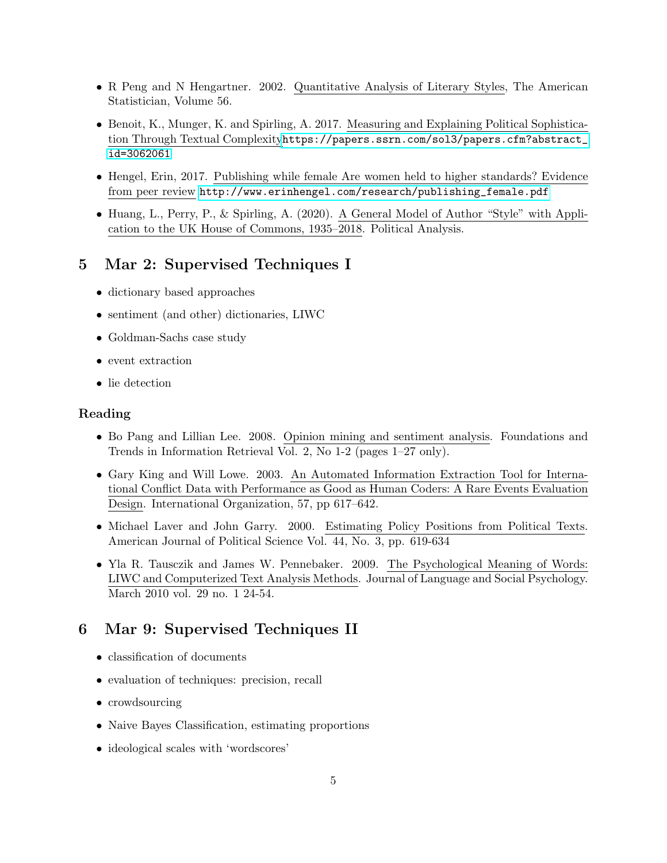- R Peng and N Hengartner. 2002. Quantitative Analysis of Literary Styles, The American Statistician, Volume 56.
- Benoit, K., Munger, K. and Spirling, A. 2017. Measuring and Explaining Political Sophistication Through Textual Complexity[https://papers.ssrn.com/sol3/papers.cfm?abstract\\_](https://papers.ssrn.com/sol3/papers.cfm?abstract_id=3062061) [id=3062061](https://papers.ssrn.com/sol3/papers.cfm?abstract_id=3062061)
- Hengel, Erin, 2017. Publishing while female Are women held to higher standards? Evidence from peer review [http://www.erinhengel.com/research/publishing\\_female.pdf](http://www.erinhengel.com/research/publishing_female.pdf)
- Huang, L., Perry, P., & Spirling, A. (2020). A General Model of Author "Style" with Application to the UK House of Commons, 1935–2018. Political Analysis.

### 5 Mar 2: Supervised Techniques I

- dictionary based approaches
- sentiment (and other) dictionaries, LIWC
- Goldman-Sachs case study
- event extraction
- lie detection

#### Reading

- Bo Pang and Lillian Lee. 2008. Opinion mining and sentiment analysis. Foundations and Trends in Information Retrieval Vol. 2, No 1-2 (pages 1–27 only).
- Gary King and Will Lowe. 2003. An Automated Information Extraction Tool for International Conflict Data with Performance as Good as Human Coders: A Rare Events Evaluation Design. International Organization, 57, pp 617–642.
- Michael Laver and John Garry. 2000. Estimating Policy Positions from Political Texts. American Journal of Political Science Vol. 44, No. 3, pp. 619-634
- Yla R. Tausczik and James W. Pennebaker. 2009. The Psychological Meaning of Words: LIWC and Computerized Text Analysis Methods. Journal of Language and Social Psychology. March 2010 vol. 29 no. 1 24-54.

## 6 Mar 9: Supervised Techniques II

- classification of documents
- evaluation of techniques: precision, recall
- crowdsourcing
- Naive Bayes Classification, estimating proportions
- ideological scales with 'wordscores'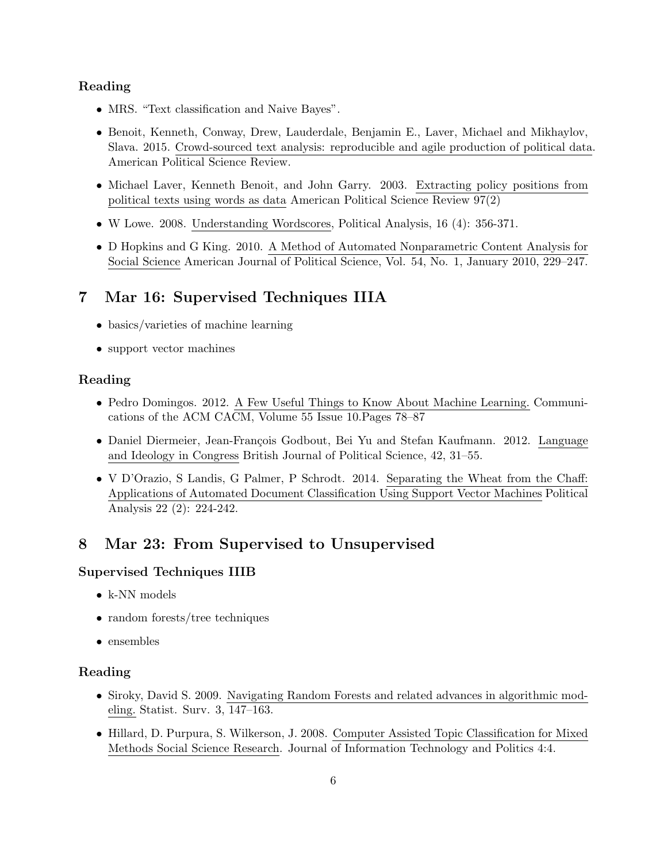#### Reading

- MRS. "Text classification and Naive Bayes".
- Benoit, Kenneth, Conway, Drew, Lauderdale, Benjamin E., Laver, Michael and Mikhaylov, Slava. 2015. Crowd-sourced text analysis: reproducible and agile production of political data. American Political Science Review.
- Michael Laver, Kenneth Benoit, and John Garry. 2003. Extracting policy positions from political texts using words as data American Political Science Review 97(2)
- W Lowe. 2008. Understanding Wordscores, Political Analysis, 16 (4): 356-371.
- D Hopkins and G King. 2010. A Method of Automated Nonparametric Content Analysis for Social Science American Journal of Political Science, Vol. 54, No. 1, January 2010, 229–247.

## 7 Mar 16: Supervised Techniques IIIA

- basics/varieties of machine learning
- support vector machines

#### Reading

- Pedro Domingos. 2012. A Few Useful Things to Know About Machine Learning. Communications of the ACM CACM, Volume 55 Issue 10.Pages 78–87
- Daniel Diermeier, Jean-François Godbout, Bei Yu and Stefan Kaufmann. 2012. Language and Ideology in Congress British Journal of Political Science, 42, 31–55.
- V D'Orazio, S Landis, G Palmer, P Schrodt. 2014. Separating the Wheat from the Chaff: Applications of Automated Document Classification Using Support Vector Machines Political Analysis 22 (2): 224-242.

## 8 Mar 23: From Supervised to Unsupervised

#### Supervised Techniques IIIB

- k-NN models
- random forests/tree techniques
- ensembles

#### Reading

- Siroky, David S. 2009. Navigating Random Forests and related advances in algorithmic modeling. Statist. Surv. 3, 147–163.
- Hillard, D. Purpura, S. Wilkerson, J. 2008. Computer Assisted Topic Classification for Mixed Methods Social Science Research. Journal of Information Technology and Politics 4:4.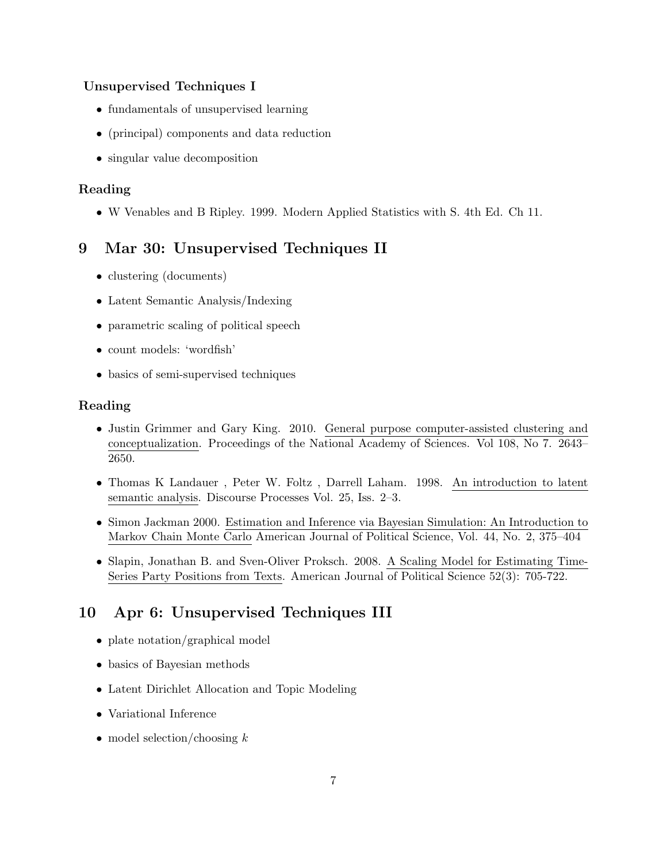#### Unsupervised Techniques I

- fundamentals of unsupervised learning
- (principal) components and data reduction
- singular value decomposition

### Reading

• W Venables and B Ripley. 1999. Modern Applied Statistics with S. 4th Ed. Ch 11.

## 9 Mar 30: Unsupervised Techniques II

- clustering (documents)
- Latent Semantic Analysis/Indexing
- parametric scaling of political speech
- count models: 'wordfish'
- basics of semi-supervised techniques

#### Reading

- Justin Grimmer and Gary King. 2010. General purpose computer-assisted clustering and conceptualization. Proceedings of the National Academy of Sciences. Vol 108, No 7. 2643– 2650.
- Thomas K Landauer , Peter W. Foltz , Darrell Laham. 1998. An introduction to latent semantic analysis. Discourse Processes Vol. 25, Iss. 2–3.
- Simon Jackman 2000. Estimation and Inference via Bayesian Simulation: An Introduction to Markov Chain Monte Carlo American Journal of Political Science, Vol. 44, No. 2, 375–404
- Slapin, Jonathan B. and Sven-Oliver Proksch. 2008. A Scaling Model for Estimating Time-Series Party Positions from Texts. American Journal of Political Science 52(3): 705-722.

## 10 Apr 6: Unsupervised Techniques III

- plate notation/graphical model
- basics of Bayesian methods
- Latent Dirichlet Allocation and Topic Modeling
- Variational Inference
- model selection/choosing  $k$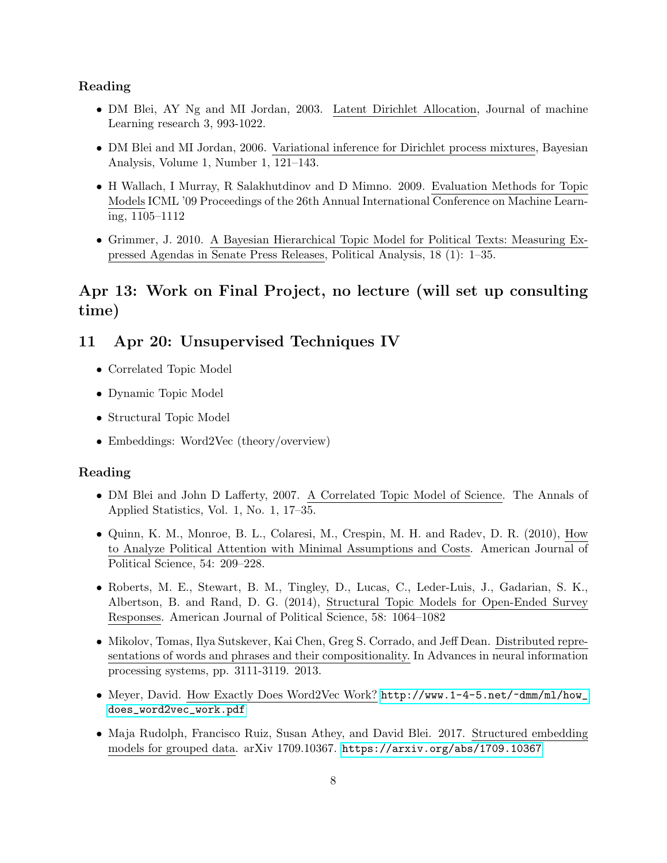#### Reading

- DM Blei, AY Ng and MI Jordan, 2003. Latent Dirichlet Allocation, Journal of machine Learning research 3, 993-1022.
- DM Blei and MI Jordan, 2006. Variational inference for Dirichlet process mixtures, Bayesian Analysis, Volume 1, Number 1, 121–143.
- H Wallach, I Murray, R Salakhutdinov and D Mimno. 2009. Evaluation Methods for Topic Models ICML '09 Proceedings of the 26th Annual International Conference on Machine Learning, 1105–1112
- Grimmer, J. 2010. A Bayesian Hierarchical Topic Model for Political Texts: Measuring Expressed Agendas in Senate Press Releases, Political Analysis, 18 (1): 1–35.

## Apr 13: Work on Final Project, no lecture (will set up consulting time)

### 11 Apr 20: Unsupervised Techniques IV

- Correlated Topic Model
- Dynamic Topic Model
- Structural Topic Model
- Embeddings: Word2Vec (theory/overview)

#### Reading

- DM Blei and John D Lafferty, 2007. A Correlated Topic Model of Science. The Annals of Applied Statistics, Vol. 1, No. 1, 17–35.
- Quinn, K. M., Monroe, B. L., Colaresi, M., Crespin, M. H. and Radev, D. R. (2010), How to Analyze Political Attention with Minimal Assumptions and Costs. American Journal of Political Science, 54: 209–228.
- Roberts, M. E., Stewart, B. M., Tingley, D., Lucas, C., Leder-Luis, J., Gadarian, S. K., Albertson, B. and Rand, D. G. (2014), Structural Topic Models for Open-Ended Survey Responses. American Journal of Political Science, 58: 1064–1082
- Mikolov, Tomas, Ilya Sutskever, Kai Chen, Greg S. Corrado, and Jeff Dean. Distributed representations of words and phrases and their compositionality. In Advances in neural information processing systems, pp. 3111-3119. 2013.
- Meyer, David. How Exactly Does Word2Vec Work? [http://www.1-4-5.net/~dmm/ml/how\\_](http://www.1-4-5.net/~dmm/ml/how_does_word2vec_work.pdf) [does\\_word2vec\\_work.pdf](http://www.1-4-5.net/~dmm/ml/how_does_word2vec_work.pdf)
- Maja Rudolph, Francisco Ruiz, Susan Athey, and David Blei. 2017. Structured embedding models for grouped data. arXiv 1709.10367. <https://arxiv.org/abs/1709.10367>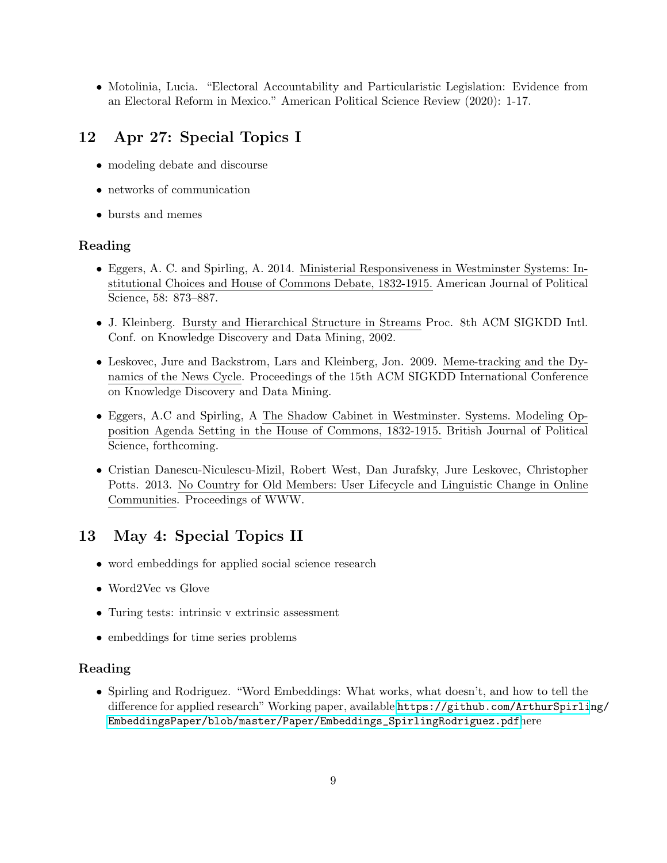• Motolinia, Lucia. "Electoral Accountability and Particularistic Legislation: Evidence from an Electoral Reform in Mexico." American Political Science Review (2020): 1-17.

## 12 Apr 27: Special Topics I

- modeling debate and discourse
- networks of communication
- bursts and memes

#### Reading

- Eggers, A. C. and Spirling, A. 2014. Ministerial Responsiveness in Westminster Systems: Institutional Choices and House of Commons Debate, 1832-1915. American Journal of Political Science, 58: 873–887.
- J. Kleinberg. Bursty and Hierarchical Structure in Streams Proc. 8th ACM SIGKDD Intl. Conf. on Knowledge Discovery and Data Mining, 2002.
- Leskovec, Jure and Backstrom, Lars and Kleinberg, Jon. 2009. Meme-tracking and the Dynamics of the News Cycle. Proceedings of the 15th ACM SIGKDD International Conference on Knowledge Discovery and Data Mining.
- Eggers, A.C and Spirling, A The Shadow Cabinet in Westminster. Systems. Modeling Opposition Agenda Setting in the House of Commons, 1832-1915. British Journal of Political Science, forthcoming.
- Cristian Danescu-Niculescu-Mizil, Robert West, Dan Jurafsky, Jure Leskovec, Christopher Potts. 2013. No Country for Old Members: User Lifecycle and Linguistic Change in Online Communities. Proceedings of WWW.

## 13 May 4: Special Topics II

- word embeddings for applied social science research
- Word2Vec vs Glove
- Turing tests: intrinsic v extrinsic assessment
- embeddings for time series problems

#### Reading

• Spirling and Rodriguez. "Word Embeddings: What works, what doesn't, and how to tell the difference for applied research" Working paper, available [https://github.com/ArthurSpirli](https://github.com/ArthurSpirling/EmbeddingsPaper/blob/master/Paper/Embeddings_SpirlingRodriguez.pdf)ng/ [EmbeddingsPaper/blob/master/Paper/Embeddings\\_SpirlingRodriguez.pdf](https://github.com/ArthurSpirling/EmbeddingsPaper/blob/master/Paper/Embeddings_SpirlingRodriguez.pdf)here